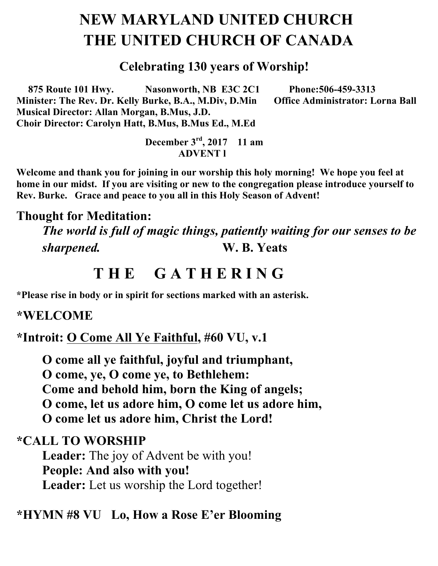## **NEW MARYLAND UNITED CHURCH THE UNITED CHURCH OF CANADA**

#### **Celebrating 130 years of Worship!**

 **875 Route 101 Hwy. Nasonworth, NB E3C 2C1 Phone:506-459-3313 Minister: The Rev. Dr. Kelly Burke, B.A., M.Div, D.Min Musical Director: Allan Morgan, B.Mus, J.D. Choir Director: Carolyn Hatt, B.Mus, B.Mus Ed., M.Ed**

> **December 3rd , 2017 11 am ADVENT l**

**Welcome and thank you for joining in our worship this holy morning! We hope you feel at home in our midst. If you are visiting or new to the congregation please introduce yourself to Rev. Burke. Grace and peace to you all in this Holy Season of Advent!**

#### **Thought for Meditation:**

*The world is full of magic things, patiently waiting for our senses to be sharpened.* **W. B. Yeats**

## **T H E G A T H E R I N G**

**\*Please rise in body or in spirit for sections marked with an asterisk.**

#### **\*WELCOME**

**\*Introit: O Come All Ye Faithful, #60 VU, v.1**

**O come all ye faithful, joyful and triumphant, O come, ye, O come ye, to Bethlehem: Come and behold him, born the King of angels; O come, let us adore him, O come let us adore him, O come let us adore him, Christ the Lord!** 

#### **\*CALL TO WORSHIP**

**Leader:** The joy of Advent be with you! **People: And also with you! Leader:** Let us worship the Lord together!

#### **\*HYMN #8 VU Lo, How a Rose E'er Blooming**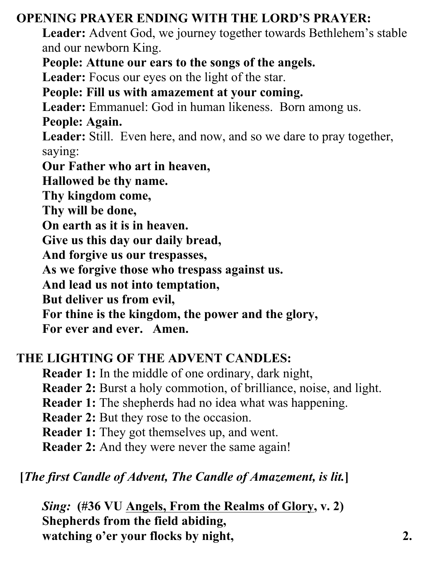## **OPENING PRAYER ENDING WITH THE LORD'S PRAYER:**

Leader: Advent God, we journey together towards Bethlehem's stable and our newborn King.

#### **People: Attune our ears to the songs of the angels.**

Leader: Focus our eyes on the light of the star.

### **People: Fill us with amazement at your coming.**

Leader: Emmanuel: God in human likeness. Born among us.

**People: Again.**

Leader: Still. Even here, and now, and so we dare to pray together, saying:

**Our Father who art in heaven,** 

**Hallowed be thy name.** 

**Thy kingdom come,** 

**Thy will be done,** 

**On earth as it is in heaven.** 

**Give us this day our daily bread,** 

**And forgive us our trespasses,** 

**As we forgive those who trespass against us.** 

**And lead us not into temptation,** 

**But deliver us from evil,** 

**For thine is the kingdom, the power and the glory,** 

**For ever and ever. Amen.**

## **THE LIGHTING OF THE ADVENT CANDLES:**

**Reader 1:** In the middle of one ordinary, dark night,

**Reader 2:** Burst a holy commotion, of brilliance, noise, and light.

**Reader 1:** The shepherds had no idea what was happening.

**Reader 2:** But they rose to the occasion.

**Reader 1:** They got themselves up, and went.

**Reader 2:** And they were never the same again!

## **[***The first Candle of Advent, The Candle of Amazement, is lit.***]**

*Sing:* **(#36 VU Angels, From the Realms of Glory, v. 2) Shepherds from the field abiding, watching o'er your flocks by night, 2.**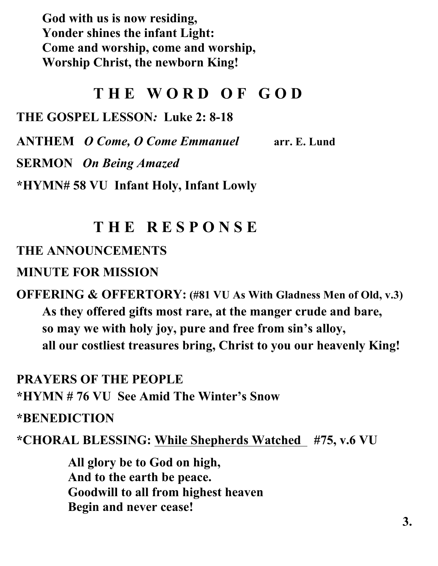**God with us is now residing, Yonder shines the infant Light: Come and worship, come and worship, Worship Christ, the newborn King!**

## **T H E W O R D O F G O D**

#### **THE GOSPEL LESSON***:* **Luke 2: 8-18**

**ANTHEM** *O Come, O Come Emmanuel* **arr. E. Lund SERMON** *On Being Amazed* **\*HYMN# 58 VU Infant Holy, Infant Lowly**

## **T H E R E S P O N S E**

#### **THE ANNOUNCEMENTS**

#### **MINUTE FOR MISSION**

**OFFERING & OFFERTORY: (#81 VU As With Gladness Men of Old, v.3) As they offered gifts most rare, at the manger crude and bare, so may we with holy joy, pure and free from sin's alloy, all our costliest treasures bring, Christ to you our heavenly King!**

#### **PRAYERS OF THE PEOPLE**

**\*HYMN # 76 VU See Amid The Winter's Snow**

#### **\*BENEDICTION**

#### **\*CHORAL BLESSING: While Shepherds Watched #75, v.6 VU**

**All glory be to God on high, And to the earth be peace. Goodwill to all from highest heaven Begin and never cease!**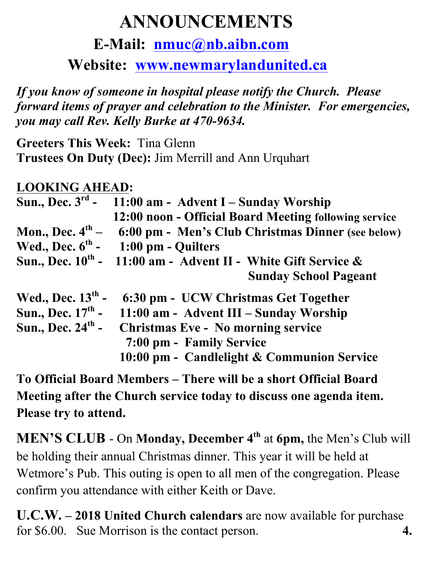## **ANNOUNCEMENTS**

## **E-Mail: nmuc@nb.aibn.com**

**Website: www.newmarylandunited.ca**

*If you know of someone in hospital please notify the Church. Please forward items of prayer and celebration to the Minister. For emergencies, you may call Rev. Kelly Burke at 470-9634.* 

**Greeters This Week:** Tina Glenn **Trustees On Duty (Dec):** Jim Merrill and Ann Urquhart

## **LOOKING AHEAD:**

| Sun., Dec. $3rd$ -            | 11:00 am - Advent I – Sunday Worship                               |
|-------------------------------|--------------------------------------------------------------------|
|                               | 12:00 noon - Official Board Meeting following service              |
| Mon., Dec. $4^{\text{th}}$ –  | 6:00 pm - Men's Club Christmas Dinner (see below)                  |
|                               | Wed., Dec. $6^{\text{th}}$ - 1:00 pm - Quilters                    |
|                               | Sun., Dec. $10^{th}$ - 11:00 am - Advent II - White Gift Service & |
|                               | <b>Sunday School Pageant</b>                                       |
| Wed., Dec. $13th$ -           | 6:30 pm - UCW Christmas Get Together                               |
| Sun., Dec. 17 <sup>th</sup> - | 11:00 am - Advent III – Sunday Worship                             |
| Sun., Dec. $24^{\text{th}}$ - | <b>Christmas Eve - No morning service</b>                          |
|                               | 7:00 pm - Family Service                                           |
|                               | 10:00 pm - Candlelight & Communion Service                         |

**To Official Board Members – There will be a short Official Board Meeting after the Church service today to discuss one agenda item. Please try to attend.**

**MEN'S CLUB** - On **Monday, December 4th** at **6pm,** the Men's Club will be holding their annual Christmas dinner. This year it will be held at Wetmore's Pub. This outing is open to all men of the congregation. Please confirm you attendance with either Keith or Dave.

**U.C.W. – 2018 United Church calendars** are now available for purchase for \$6.00. Sue Morrison is the contact person. **4.**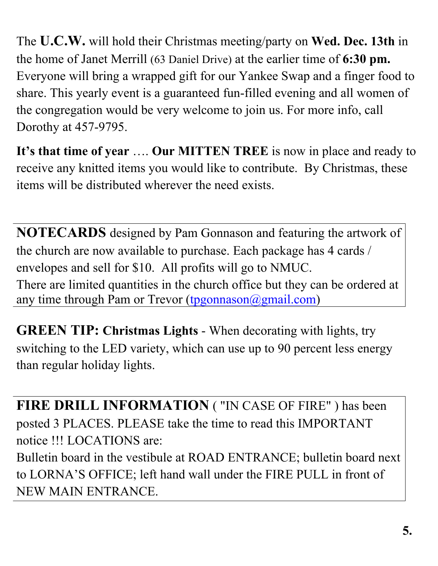The **U.C.W.** will hold their Christmas meeting/party on **Wed. Dec. 13th** in the home of Janet Merrill (63 Daniel Drive) at the earlier time of **6:30 pm.** Everyone will bring a wrapped gift for our Yankee Swap and a finger food to share. This yearly event is a guaranteed fun-filled evening and all women of the congregation would be very welcome to join us. For more info, call Dorothy at 457-9795.

**It's that time of year** …. **Our MITTEN TREE** is now in place and ready to receive any knitted items you would like to contribute. By Christmas, these items will be distributed wherever the need exists.

**NOTECARDS** designed by Pam Gonnason and featuring the artwork of the church are now available to purchase. Each package has 4 cards / envelopes and sell for \$10. All profits will go to NMUC. There are limited quantities in the church office but they can be ordered at any time through Pam or Trevor (tpgonnason@gmail.com)

**GREEN TIP: Christmas Lights** - When decorating with lights, try switching to the LED variety, which can use up to 90 percent less energy than regular holiday lights.

**FIRE DRILL INFORMATION** ( "IN CASE OF FIRE" ) has been posted 3 PLACES. PLEASE take the time to read this IMPORTANT notice !!! LOCATIONS are: Bulletin board in the vestibule at ROAD ENTRANCE; bulletin board next to LORNA'S OFFICE; left hand wall under the FIRE PULL in front of

NEW MAIN ENTRANCE.